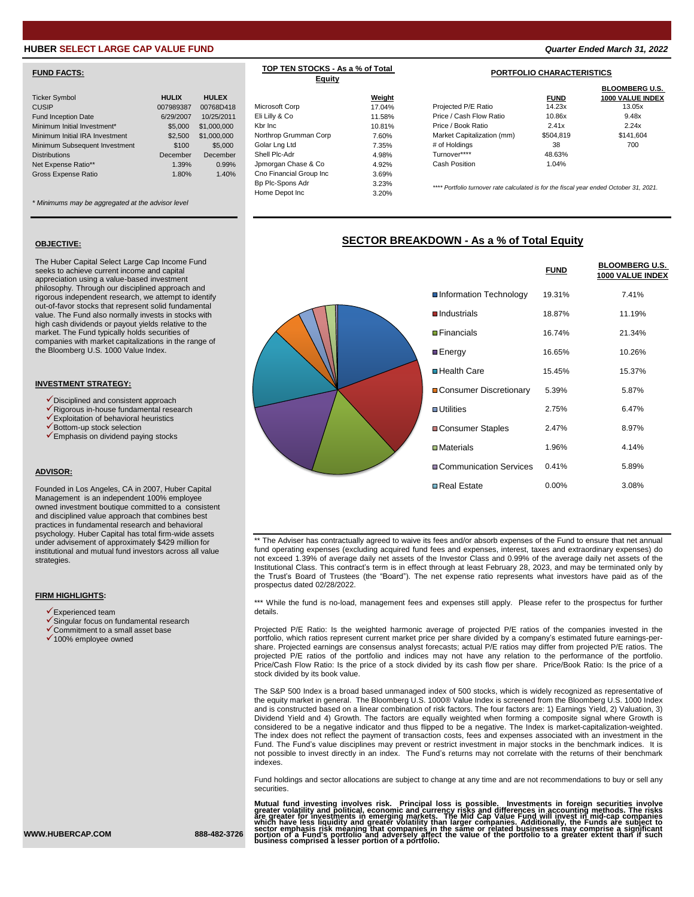# **HUBER SELECT LARGE CAP VALUE FUND** *Quarter Ended March 31, 2022*

## **FUND FACTS:**

| <b>Ticker Symbol</b>           | <b>HULIX</b> | <b>HULEX</b> |                         | Weight |
|--------------------------------|--------------|--------------|-------------------------|--------|
| <b>CUSIP</b>                   | 007989387    | 00768D418    | Microsoft Corp          | 17.04% |
| Fund Inception Date            | 6/29/2007    | 10/25/2011   | Eli Lilly & Co          | 11.58% |
| Minimum Initial Investment*    | \$5,000      | \$1,000,000  | Kbr Inc                 | 10.81% |
| Minimum Initial IRA Investment | \$2,500      | \$1,000,000  | Northrop Grumman Corp   | 7.60%  |
| Minimum Subsequent Investment  | \$100        | \$5,000      | Golar Lng Ltd           | 7.35%  |
| <b>Distributions</b>           | December     | December     | Shell Plc-Adr           | 4.98%  |
| Net Expense Ratio**            | 1.39%        | 0.99%        | Jpmorgan Chase & Co     | 4.92%  |
| <b>Gross Expense Ratio</b>     | 1.80%        | 1.40%        | Cno Financial Group Inc | 3.69%  |
|                                |              |              |                         |        |

*\* Minimums may be aggregated at the advisor level*

### **OBJECTIVE:**

The Huber Capital Select Large Cap Income Fund seeks to achieve current income and capital appreciation using a value-based investment philosophy. Through our disciplined approach and rigorous independent research, we attempt to identify out-of-favor stocks that represent solid fundamental value. The Fund also normally invests in stocks with high cash dividends or payout yields relative to the market. The Fund typically holds securities of companies with market capitalizations in the range of the Bloomberg U.S. 1000 Value Index.

### **INVESTMENT STRATEGY:**

- ✓Disciplined and consistent approach
- ✓Rigorous in-house fundamental research
- ✓Exploitation of behavioral heuristics ✓Bottom-up stock selection
- ✓Emphasis on dividend paying stocks
- 

### **ADVISOR:**

Founded in Los Angeles, CA in 2007, Huber Capital Management is an independent 100% employee owned investment boutique committed to a consistent and disciplined value approach that combines best practices in fundamental research and behavioral psychology. Huber Capital has total firm-wide assets under advisement of approximately \$429 million for institutional and mutual fund investors across all value strategies.

### **FIRM HIGHLIGHTS:**

- $\checkmark$  Experienced team
- ✓Singular focus on fundamental research
- ✓Commitment to a small asset base
- ✓100% employee owned



**TOP TEN STOCKS - As a % of Total Equity**

|                         |        |                                                                                        |             | <b>BLOOMBERG U.S.</b>   |
|-------------------------|--------|----------------------------------------------------------------------------------------|-------------|-------------------------|
|                         | Weight |                                                                                        | <b>FUND</b> | <b>1000 VALUE INDEX</b> |
| Microsoft Corp          | 17.04% | Projected P/E Ratio                                                                    | 14.23x      | 13.05x                  |
| Eli Lilly & Co          | 11.58% | Price / Cash Flow Ratio                                                                | 10.86x      | 9.48x                   |
| Kbr Inc                 | 10.81% | Price / Book Ratio                                                                     | 2.41x       | 2.24x                   |
| Northrop Grumman Corp   | 7.60%  | Market Capitalization (mm)                                                             | \$504.819   | \$141.604               |
| Golar Lng Ltd           | 7.35%  | # of Holdings                                                                          | 38          | 700                     |
| Shell Plc-Adr           | 4.98%  | Turnover****                                                                           | 48.63%      |                         |
| Jpmorgan Chase & Co     | 4.92%  | <b>Cash Position</b>                                                                   | 1.04%       |                         |
| Cno Financial Group Inc | 3.69%  |                                                                                        |             |                         |
| Bp Plc-Spons Adr        | 3.23%  | **** Portfolio turnover rate calculated is for the fiscal year ended October 31, 2021. |             |                         |
| Home Depot Inc          | 3.20%  |                                                                                        |             |                         |

## **SECTOR BREAKDOWN - As a % of Total Equity**

|                                 | <b>FUND</b> | <b>BLOOMBERG U.S.</b><br>1000 VALUE INDEX |
|---------------------------------|-------------|-------------------------------------------|
| ■ Information Technology        | 19.31%      | 7.41%                                     |
| $\blacksquare$ Industrials      | 18.87%      | 11.19%                                    |
| $\blacksquare$ Financials       | 16.74%      | 21.34%                                    |
| <b>■Energy</b>                  | 16.65%      | 10.26%                                    |
| ■Health Care                    | 15.45%      | 15.37%                                    |
| <b>■ Consumer Discretionary</b> | 5.39%       | 5.87%                                     |
| $\blacksquare$ Utilities        | 2.75%       | 6.47%                                     |
| <b>■ Consumer Staples</b>       | 2.47%       | 8.97%                                     |
| $\square$ Materials             | 1.96%       | 4.14%                                     |
| ■Communication Services         | 0.41%       | 5.89%                                     |
| <b>□</b> Real Estate            | $0.00\%$    | 3.08%                                     |

\*\* The Adviser has contractually agreed to waive its fees and/or absorb expenses of the Fund to ensure that net annual fund operating expenses (excluding acquired fund fees and expenses, interest, taxes and extraordinary expenses) do not exceed 1.39% of average daily net assets of the Investor Class and 0.99% of the average daily net assets of the Institutional Class. This contract's term is in effect through at least February 28, 2023, and may be terminated only by the Trust's Board of Trustees (the "Board"). The net expense ratio represents what investors have paid as of the prospectus dated 02/28/2022.

\*\*\* While the fund is no-load, management fees and expenses still apply. Please refer to the prospectus for further details.

Projected P/E Ratio: Is the weighted harmonic average of projected P/E ratios of the companies invested in the portfolio, which ratios represent current market price per share divided by a company's estimated future earnings-pershare. Projected earnings are consensus analyst forecasts; actual P/E ratios may differ from projected P/E ratios. The projected P/E ratios of the portfolio and indices may not have any relation to the performance of the portfolio. Price/Cash Flow Ratio: Is the price of a stock divided by its cash flow per share. Price/Book Ratio: Is the price of a stock divided by its book value.

The S&P 500 Index is a broad based unmanaged index of 500 stocks, which is widely recognized as representative of the equity market in general. The Bloomberg U.S. 1000® Value Index is screened from the Bloomberg U.S. 1000 Index and is constructed based on a linear combination of risk factors. The four factors are: 1) Earnings Yield, 2) Valuation, 3) Dividend Yield and 4) Growth. The factors are equally weighted when forming a composite signal where Growth is considered to be a negative indicator and thus flipped to be a negative. The Index is market-capitalization-weighted. The index does not reflect the payment of transaction costs, fees and expenses associated with an investment in the Fund. The Fund's value disciplines may prevent or restrict investment in major stocks in the benchmark indices. It is not possible to invest directly in an index. The Fund's returns may not correlate with the returns of their benchmark indexes.

Fund holdings and sector allocations are subject to change at any time and are not recommendations to buy or sell any securities.

Mutual fund investing involves risk. Principal loss is possible. Investments in foreign securities involves in<br>greater volatility and political, economic and currency risks and differences in accounting methods. The risks<br>

**WWW.HUBERCAP.COM 888-482-3726**

**PORTFOLIO CHARACTERISTICS**